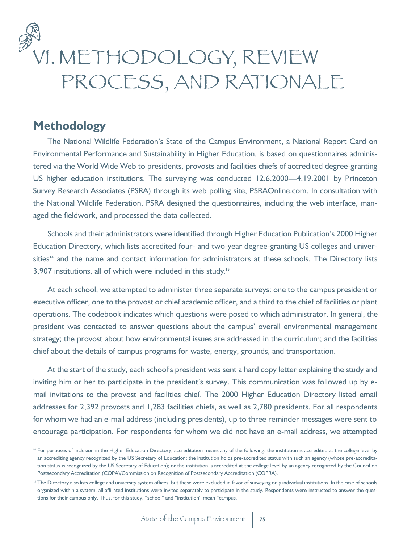

## **Methodology**

The National Wildlife Federation's State of the Campus Environment, a National Report Card on Environmental Performance and Sustainability in Higher Education, is based on questionnaires administered via the World Wide Web to presidents, provosts and facilities chiefs of accredited degree-granting US higher education institutions. The surveying was conducted 12.6.2000—4.19.2001 by Princeton Survey Research Associates (PSRA) through its web polling site, PSRAOnline.com. In consultation with the National Wildlife Federation, PSRA designed the questionnaires, including the web interface, managed the fieldwork, and processed the data collected.

Schools and their administrators were identified through Higher Education Publication's 2000 Higher Education Directory, which lists accredited four- and two-year degree-granting US colleges and universities<sup>14</sup> and the name and contact information for administrators at these schools. The Directory lists 3,907 institutions, all of which were included in this study.<sup>15</sup>

At each school, we attempted to administer three separate surveys: one to the campus president or executive officer, one to the provost or chief academic officer, and a third to the chief of facilities or plant operations. The codebook indicates which questions were posed to which administrator. In general, the president was contacted to answer questions about the campus' overall environmental management strategy; the provost about how environmental issues are addressed in the curriculum; and the facilities chief about the details of campus programs for waste, energy, grounds, and transportation.

At the start of the study, each school's president was sent a hard copy letter explaining the study and inviting him or her to participate in the president's survey. This communication was followed up by email invitations to the provost and facilities chief. The 2000 Higher Education Directory listed email addresses for 2,392 provosts and 1,283 facilities chiefs, as well as 2,780 presidents. For all respondents for whom we had an e-mail address (including presidents), up to three reminder messages were sent to encourage participation. For respondents for whom we did not have an e-mail address, we attempted

<sup>&</sup>lt;sup>14</sup> For purposes of inclusion in the Higher Education Directory, accreditation means any of the following: the institution is accredited at the college level by an accrediting agency recognized by the US Secretary of Education; the institution holds pre-accredited status with such an agency (whose pre-accreditation status is recognized by the US Secretary of Education); or the institution is accredited at the college level by an agency recognized by the Council on Postsecondary Accreditation (COPA)/Commission on Recognition of Postsecondary Accreditation (COPRA).

<sup>&</sup>lt;sup>15</sup> The Directory also lists college and university system offices, but these were excluded in favor of surveying only individual institutions. In the case of schools organized within a system, all affiliated institutions were invited separately to participate in the study. Respondents were instructed to answer the questions for their campus only. Thus, for this study, "school" and "institution" mean "campus."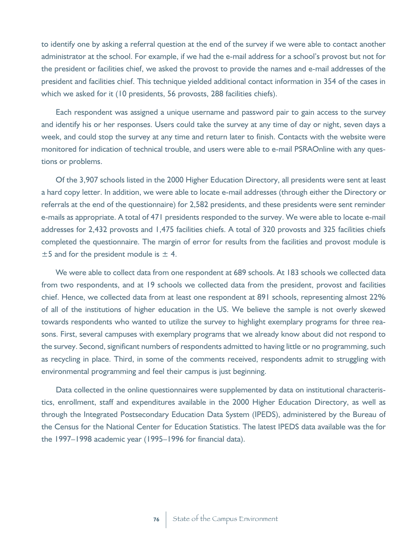to identify one by asking a referral question at the end of the survey if we were able to contact another administrator at the school. For example, if we had the e-mail address for a school's provost but not for the president or facilities chief, we asked the provost to provide the names and e-mail addresses of the president and facilities chief. This technique yielded additional contact information in 354 of the cases in which we asked for it (10 presidents, 56 provosts, 288 facilities chiefs).

Each respondent was assigned a unique username and password pair to gain access to the survey and identify his or her responses. Users could take the survey at any time of day or night, seven days a week, and could stop the survey at any time and return later to finish. Contacts with the website were monitored for indication of technical trouble, and users were able to e-mail PSRAOnline with any questions or problems.

Of the 3,907 schools listed in the 2000 Higher Education Directory, all presidents were sent at least a hard copy letter. In addition, we were able to locate e-mail addresses (through either the Directory or referrals at the end of the questionnaire) for 2,582 presidents, and these presidents were sent reminder e-mails as appropriate. A total of 471 presidents responded to the survey. We were able to locate e-mail addresses for 2,432 provosts and 1,475 facilities chiefs. A total of 320 provosts and 325 facilities chiefs completed the questionnaire. The margin of error for results from the facilities and provost module is  $\pm$ 5 and for the president module is  $\pm$  4.

We were able to collect data from one respondent at 689 schools. At 183 schools we collected data from two respondents, and at 19 schools we collected data from the president, provost and facilities chief. Hence, we collected data from at least one respondent at 891 schools, representing almost 22% of all of the institutions of higher education in the US. We believe the sample is not overly skewed towards respondents who wanted to utilize the survey to highlight exemplary programs for three reasons. First, several campuses with exemplary programs that we already know about did not respond to the survey. Second, significant numbers of respondents admitted to having little or no programming, such as recycling in place. Third, in some of the comments received, respondents admit to struggling with environmental programming and feel their campus is just beginning.

Data collected in the online questionnaires were supplemented by data on institutional characteristics, enrollment, staff and expenditures available in the 2000 Higher Education Directory, as well as through the Integrated Postsecondary Education Data System (IPEDS), administered by the Bureau of the Census for the National Center for Education Statistics. The latest IPEDS data available was the for the 1997–1998 academic year (1995–1996 for financial data).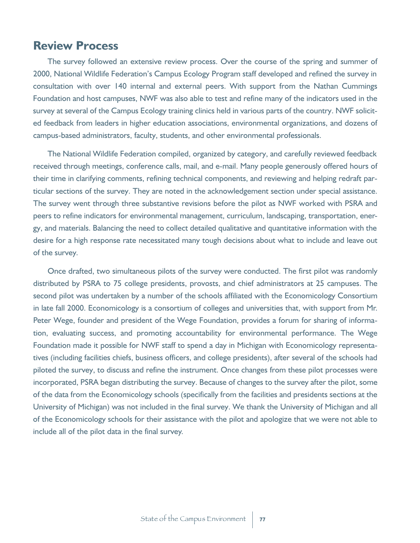## **Review Process**

The survey followed an extensive review process. Over the course of the spring and summer of 2000, National Wildlife Federation's Campus Ecology Program staff developed and refined the survey in consultation with over 140 internal and external peers. With support from the Nathan Cummings Foundation and host campuses, NWF was also able to test and refine many of the indicators used in the survey at several of the Campus Ecology training clinics held in various parts of the country. NWF solicited feedback from leaders in higher education associations, environmental organizations, and dozens of campus-based administrators, faculty, students, and other environmental professionals.

The National Wildlife Federation compiled, organized by category, and carefully reviewed feedback received through meetings, conference calls, mail, and e-mail. Many people generously offered hours of their time in clarifying comments, refining technical components, and reviewing and helping redraft particular sections of the survey. They are noted in the acknowledgement section under special assistance. The survey went through three substantive revisions before the pilot as NWF worked with PSRA and peers to refine indicators for environmental management, curriculum, landscaping, transportation, energy, and materials. Balancing the need to collect detailed qualitative and quantitative information with the desire for a high response rate necessitated many tough decisions about what to include and leave out of the survey.

Once drafted, two simultaneous pilots of the survey were conducted. The first pilot was randomly distributed by PSRA to 75 college presidents, provosts, and chief administrators at 25 campuses. The second pilot was undertaken by a number of the schools affiliated with the Economicology Consortium in late fall 2000. Economicology is a consortium of colleges and universities that, with support from Mr. Peter Wege, founder and president of the Wege Foundation, provides a forum for sharing of information, evaluating success, and promoting accountability for environmental performance. The Wege Foundation made it possible for NWF staff to spend a day in Michigan with Economicology representatives (including facilities chiefs, business officers, and college presidents), after several of the schools had piloted the survey, to discuss and refine the instrument. Once changes from these pilot processes were incorporated, PSRA began distributing the survey. Because of changes to the survey after the pilot, some of the data from the Economicology schools (specifically from the facilities and presidents sections at the University of Michigan) was not included in the final survey. We thank the University of Michigan and all of the Economicology schools for their assistance with the pilot and apologize that we were not able to include all of the pilot data in the final survey.